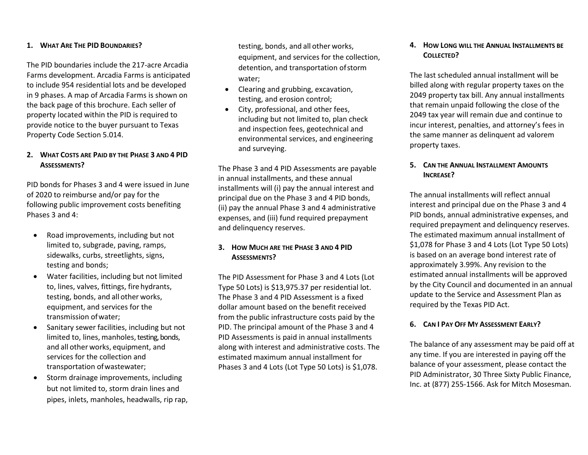#### **1. WHAT ARE THE PID BOUNDARIES?**

The PID boundaries include the 217-acre Arcadia Farms development. Arcadia Farms is anticipated to include 954 residential lots and be developed in 9 phases. A map of Arcadia Farms is shown on the back page of this brochure. Each seller of property located within the PID is required to provide notice to the buyer pursuant to Texas Property Code Section 5.014.

## **2. WHAT COSTS ARE PAID BY THE PHASE 3 AND 4 PID ASSESSMENTS?**

PID bonds for Phases 3 and 4 were issued in June of 2020 to reimburse and/or pay for the following public improvement costs benefiting Phases 3 and 4:

- Road improvements, including but not limited to, subgrade, paving, ramps, sidewalks, curbs, streetlights, signs, testing and bonds;
- Water facilities, including but not limited to, lines, valves, fittings, fire hydrants, testing, bonds, and all other works, equipment, and services for the transmission ofwater;
- Sanitary sewer facilities, including but not limited to, lines, manholes, testing, bonds, and all other works, equipment, and services for the collection and transportation ofwastewater;
- Storm drainage improvements, including but not limited to, storm drain lines and pipes, inlets, manholes, headwalls, rip rap,

testing, bonds, and all other works, equipment, and services for the collection, detention, and transportation of storm water;

- Clearing and grubbing, excavation, testing, and erosion control;
- City, professional, and other fees, including but not limited to, plan check and inspection fees, geotechnical and environmental services, and engineering and surveying.

The Phase 3 and 4 PID Assessments are payable in annual installments, and these annual installments will (i) pay the annual interest and principal due on the Phase 3 and 4 PID bonds, (ii) pay the annual Phase 3 and 4 administrative expenses, and (iii) fund required prepayment and delinquency reserves.

# **3. HOW MUCH ARE THE PHASE 3 AND 4 PID ASSESSMENTS?**

The PID Assessment for Phase 3 and 4 Lots (Lot Type 50 Lots) is \$13,975.37 per residential lot. The Phase 3 and 4 PID Assessment is a fixed dollar amount based on the benefit received from the public infrastructure costs paid by the PID. The principal amount of the Phase 3 and 4 PID Assessments is paid in annual installments along with interest and administrative costs. The estimated maximum annual installment for Phases 3 and 4 Lots (Lot Type 50 Lots) is \$1,078.

## **4. HOW LONG WILL THE ANNUAL INSTALLMENTS BE COLLECTED?**

The last scheduled annual installment will be billed along with regular property taxes on the 2049 property tax bill. Any annual installments that remain unpaid following the close of the 2049 tax year will remain due and continue to incur interest, penalties, and attorney's fees in the same manner as delinquent ad valorem property taxes.

## **5. CAN THE ANNUAL INSTALLMENT AMOUNTS INCREASE?**

The annual installments will reflect annual interest and principal due on the Phase 3 and 4 PID bonds, annual administrative expenses, and required prepayment and delinquency reserves. The estimated maximum annual installment of \$1,078 for Phase 3 and 4 Lots (Lot Type 50 Lots) is based on an average bond interest rate of approximately 3.99%. Any revision to the estimated annual installments will be approved by the City Council and documented in an annual update to the Service and Assessment Plan as required by the Texas PID Act.

## **6. CAN I PAY OFF MY ASSESSMENT EARLY?**

The balance of any assessment may be paid off at any time. If you are interested in paying off the balance of your assessment, please contact the PID Administrator, 30 Three Sixty Public Finance, Inc. at (877) 255-1566. Ask for Mitch Mosesman.